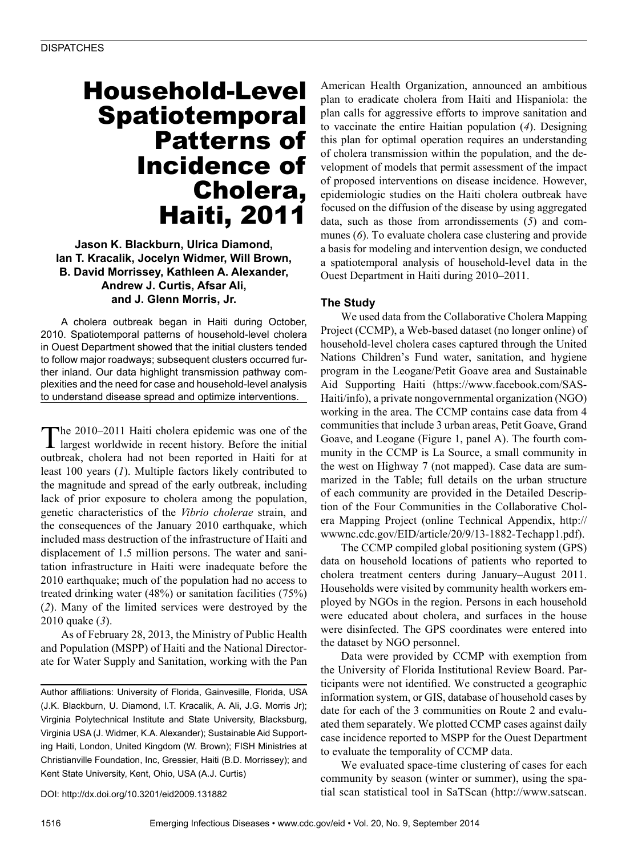# Household-Level Spatiotemporal Patterns of Incidence of Cholera, Haiti, 2011

**Jason K. Blackburn, Ulrica Diamond, Ian T. Kracalik, Jocelyn Widmer, Will Brown, B. David Morrissey, Kathleen A. Alexander, Andrew J. Curtis, Afsar Ali, and J. Glenn Morris, Jr.**

A cholera outbreak began in Haiti during October, 2010. Spatiotemporal patterns of household-level cholera in Ouest Department showed that the initial clusters tended to follow major roadways; subsequent clusters occurred further inland. Our data highlight transmission pathway complexities and the need for case and household-level analysis to understand disease spread and optimize interventions.

The 2010–2011 Haiti cholera epidemic was one of the largest worldwide in recent history. Before the initial outbreak, cholera had not been reported in Haiti for at least 100 years (*1*). Multiple factors likely contributed to the magnitude and spread of the early outbreak, including lack of prior exposure to cholera among the population, genetic characteristics of the *Vibrio cholerae* strain, and the consequences of the January 2010 earthquake, which included mass destruction of the infrastructure of Haiti and displacement of 1.5 million persons. The water and sanitation infrastructure in Haiti were inadequate before the 2010 earthquake; much of the population had no access to treated drinking water (48%) or sanitation facilities (75%) (*2*). Many of the limited services were destroyed by the 2010 quake (*3*).

As of February 28, 2013, the Ministry of Public Health and Population (MSPP) of Haiti and the National Directorate for Water Supply and Sanitation, working with the Pan

Author affiliations: University of Florida, Gainvesille, Florida, USA (J.K. Blackburn, U. Diamond, I.T. Kracalik, A. Ali, J.G. Morris Jr); Virginia Polytechnical Institute and State University, Blacksburg, Virginia USA (J. Widmer, K.A. Alexander); Sustainable Aid Supporting Haiti, London, United Kingdom (W. Brown); FISH Ministries at Christianville Foundation, Inc, Gressier, Haiti (B.D. Morrissey); and Kent State University, Kent, Ohio, USA (A.J. Curtis)

DOI: http://dx.doi.org/10.3201/eid2009.131882

American Health Organization, announced an ambitious plan to eradicate cholera from Haiti and Hispaniola: the plan calls for aggressive efforts to improve sanitation and to vaccinate the entire Haitian population (*4*). Designing this plan for optimal operation requires an understanding of cholera transmission within the population, and the development of models that permit assessment of the impact of proposed interventions on disease incidence. However, epidemiologic studies on the Haiti cholera outbreak have focused on the diffusion of the disease by using aggregated data, such as those from arrondissements (*5*) and communes (*6*). To evaluate cholera case clustering and provide a basis for modeling and intervention design, we conducted a spatiotemporal analysis of household-level data in the Ouest Department in Haiti during 2010–2011.

### **The Study**

We used data from the Collaborative Cholera Mapping Project (CCMP), a Web-based dataset (no longer online) of household-level cholera cases captured through the United Nations Children's Fund water, sanitation, and hygiene program in the Leogane/Petit Goave area and Sustainable Aid Supporting Haiti (https://www.facebook.com/SAS-Haiti/info), a private nongovernmental organization (NGO) working in the area. The CCMP contains case data from 4 communities that include 3 urban areas, Petit Goave, Grand Goave, and Leogane (Figure 1, panel A). The fourth community in the CCMP is La Source, a small community in the west on Highway 7 (not mapped). Case data are summarized in the Table; full details on the urban structure of each community are provided in the Detailed Description of the Four Communities in the Collaborative Cholera Mapping Project (online Technical Appendix, http:// wwwnc.cdc.gov/EID/article/20/9/13-1882-Techapp1.pdf).

The CCMP compiled global positioning system (GPS) data on household locations of patients who reported to cholera treatment centers during January–August 2011. Households were visited by community health workers employed by NGOs in the region. Persons in each household were educated about cholera, and surfaces in the house were disinfected. The GPS coordinates were entered into the dataset by NGO personnel.

Data were provided by CCMP with exemption from the University of Florida Institutional Review Board. Participants were not identified. We constructed a geographic information system, or GIS, database of household cases by date for each of the 3 communities on Route 2 and evaluated them separately. We plotted CCMP cases against daily case incidence reported to MSPP for the Ouest Department to evaluate the temporality of CCMP data.

We evaluated space-time clustering of cases for each community by season (winter or summer), using the spatial scan statistical tool in SaTScan (http://www.satscan.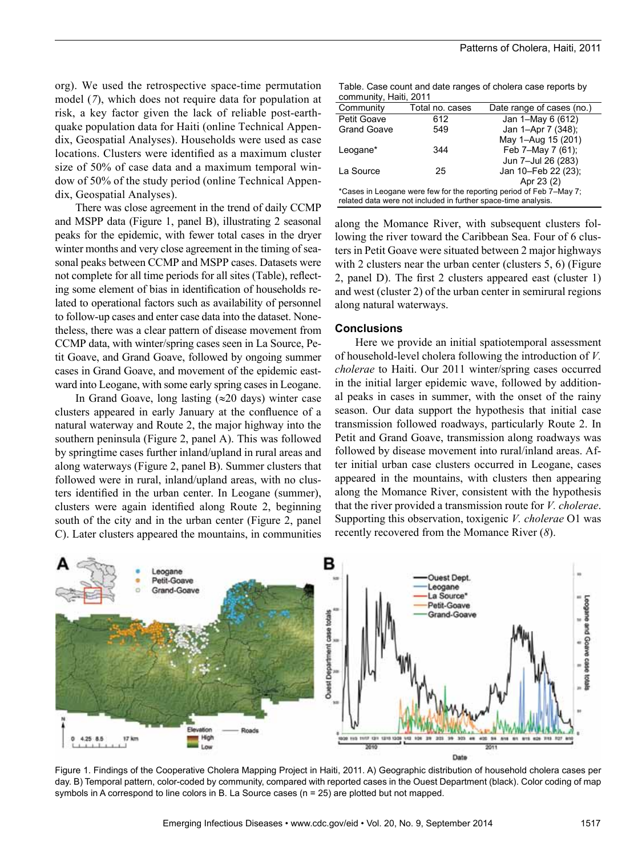org). We used the retrospective space-time permutation model (*7*), which does not require data for population at risk, a key factor given the lack of reliable post-earthquake population data for Haiti (online Technical Appendix, Geospatial Analyses). Households were used as case locations. Clusters were identified as a maximum cluster size of 50% of case data and a maximum temporal window of 50% of the study period (online Technical Appendix, Geospatial Analyses).

There was close agreement in the trend of daily CCMP and MSPP data (Figure 1, panel B), illustrating 2 seasonal peaks for the epidemic, with fewer total cases in the dryer winter months and very close agreement in the timing of seasonal peaks between CCMP and MSPP cases. Datasets were not complete for all time periods for all sites (Table), reflecting some element of bias in identification of households related to operational factors such as availability of personnel to follow-up cases and enter case data into the dataset. Nonetheless, there was a clear pattern of disease movement from CCMP data, with winter/spring cases seen in La Source, Petit Goave, and Grand Goave, followed by ongoing summer cases in Grand Goave, and movement of the epidemic eastward into Leogane, with some early spring cases in Leogane.

In Grand Goave, long lasting (≈20 days) winter case clusters appeared in early January at the confluence of a natural waterway and Route 2, the major highway into the southern peninsula (Figure 2, panel A). This was followed by springtime cases further inland/upland in rural areas and along waterways (Figure 2, panel B). Summer clusters that followed were in rural, inland/upland areas, with no clusters identified in the urban center. In Leogane (summer), clusters were again identified along Route 2, beginning south of the city and in the urban center (Figure 2, panel C). Later clusters appeared the mountains, in communities

Table. Case count and date ranges of cholera case reports by community, Haiti, 2011

| Community                                                           | Total no. cases | Date range of cases (no.) |
|---------------------------------------------------------------------|-----------------|---------------------------|
| Petit Goave                                                         | 612             | Jan 1-May 6 (612)         |
| <b>Grand Goave</b>                                                  | 549             | Jan 1-Apr 7 (348);        |
|                                                                     |                 | May 1-Aug 15 (201)        |
| Leogane*                                                            | 344             | Feb 7-May 7 (61);         |
|                                                                     |                 | Jun 7-Jul 26 (283)        |
| La Source                                                           | 25              | Jan 10-Feb 22 (23);       |
|                                                                     |                 | Apr 23 (2)                |
| *Cases in Leogane were few for the reporting period of Feb 7–May 7; |                 |                           |
| related data were not included in further space-time analysis.      |                 |                           |

along the Momance River, with subsequent clusters following the river toward the Caribbean Sea. Four of 6 clusters in Petit Goave were situated between 2 major highways with 2 clusters near the urban center (clusters 5, 6) (Figure 2, panel D). The first 2 clusters appeared east (cluster 1) and west (cluster 2) of the urban center in semirural regions along natural waterways.

#### **Conclusions**

Here we provide an initial spatiotemporal assessment of household-level cholera following the introduction of *V. cholerae* to Haiti. Our 2011 winter/spring cases occurred in the initial larger epidemic wave, followed by additional peaks in cases in summer, with the onset of the rainy season. Our data support the hypothesis that initial case transmission followed roadways, particularly Route 2. In Petit and Grand Goave, transmission along roadways was followed by disease movement into rural/inland areas. After initial urban case clusters occurred in Leogane, cases appeared in the mountains, with clusters then appearing along the Momance River, consistent with the hypothesis that the river provided a transmission route for *V. cholerae*. Supporting this observation, toxigenic *V. cholerae* O1 was recently recovered from the Momance River (*8*).



Figure 1. Findings of the Cooperative Cholera Mapping Project in Haiti, 2011. A) Geographic distribution of household cholera cases per day. B) Temporal pattern, color-coded by community, compared with reported cases in the Ouest Department (black). Color coding of map symbols in A correspond to line colors in B. La Source cases (n = 25) are plotted but not mapped.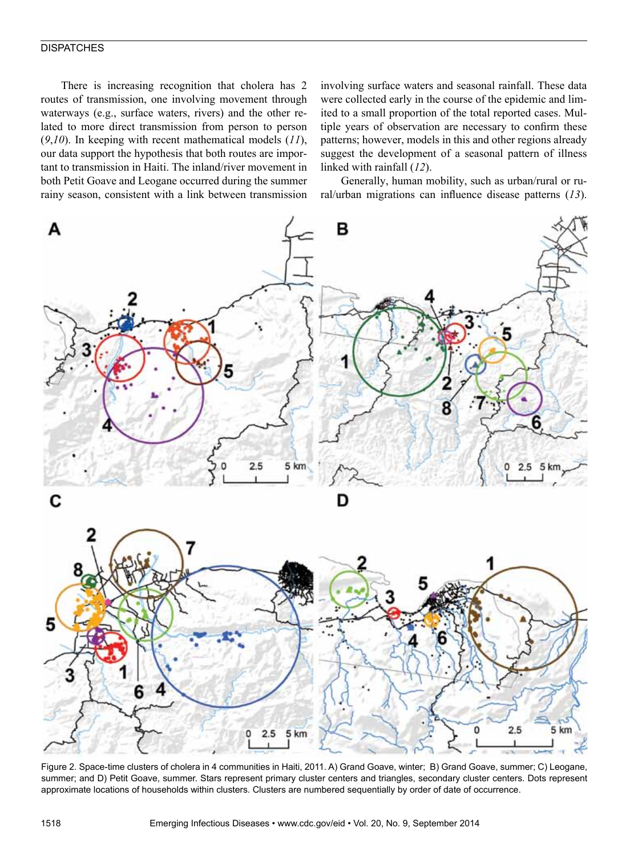### **DISPATCHES**

There is increasing recognition that cholera has 2 routes of transmission, one involving movement through waterways (e.g., surface waters, rivers) and the other related to more direct transmission from person to person (*9*,*10*). In keeping with recent mathematical models (*11*), our data support the hypothesis that both routes are important to transmission in Haiti. The inland/river movement in both Petit Goave and Leogane occurred during the summer rainy season, consistent with a link between transmission involving surface waters and seasonal rainfall. These data were collected early in the course of the epidemic and limited to a small proportion of the total reported cases. Multiple years of observation are necessary to confirm these patterns; however, models in this and other regions already suggest the development of a seasonal pattern of illness linked with rainfall (*12*).

Generally, human mobility, such as urban/rural or rural/urban migrations can influence disease patterns (*13*).



Figure 2. Space-time clusters of cholera in 4 communities in Haiti, 2011. A) Grand Goave, winter; B) Grand Goave, summer; C) Leogane, summer; and D) Petit Goave, summer. Stars represent primary cluster centers and triangles, secondary cluster centers. Dots represent approximate locations of households within clusters. Clusters are numbered sequentially by order of date of occurrence.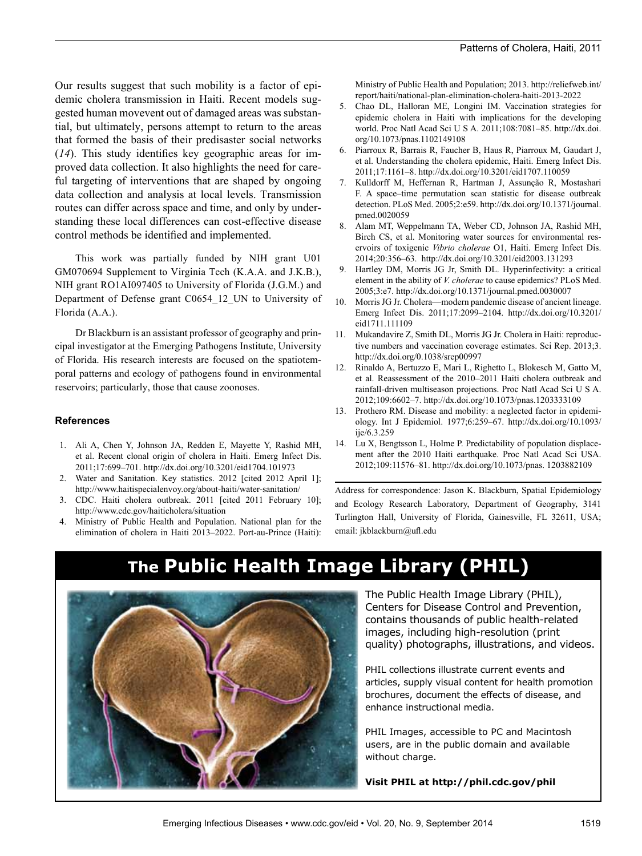Our results suggest that such mobility is a factor of epidemic cholera transmission in Haiti. Recent models suggested human movevent out of damaged areas was substantial, but ultimately, persons attempt to return to the areas that formed the basis of their predisaster social networks (*14*). This study identifies key geographic areas for improved data collection. It also highlights the need for careful targeting of interventions that are shaped by ongoing data collection and analysis at local levels. Transmission routes can differ across space and time, and only by understanding these local differences can cost-effective disease control methods be identified and implemented.

This work was partially funded by NIH grant U01 GM070694 Supplement to Virginia Tech (K.A.A. and J.K.B.), NIH grant RO1AI097405 to University of Florida (J.G.M.) and Department of Defense grant C0654\_12\_UN to University of Florida (A.A.).

Dr Blackburn is an assistant professor of geography and principal investigator at the Emerging Pathogens Institute, University of Florida. His research interests are focused on the spatiotemporal patterns and ecology of pathogens found in environmental reservoirs; particularly, those that cause zoonoses.

### **References**

- 1. Ali A, Chen Y, Johnson JA, Redden E, Mayette Y, Rashid MH, et al. Recent clonal origin of cholera in Haiti. Emerg Infect Dis. 2011;17:699–701. http://dx.doi.org/10.3201/eid1704.101973
- 2. Water and Sanitation. Key statistics. 2012 [cited 2012 April 1]; http://www.haitispecialenvoy.org/about-haiti/water-sanitation/
- 3. CDC. Haiti cholera outbreak. 2011 [cited 2011 February 10]; http://www.cdc.gov/haiticholera/situation
- 4. Ministry of Public Health and Population. National plan for the elimination of cholera in Haiti 2013–2022. Port-au-Prince (Haiti):

Ministry of Public Health and Population; 2013. http://reliefweb.int/ report/haiti/national-plan-elimination-cholera-haiti-2013-2022

- 5. Chao DL, Halloran ME, Longini IM. Vaccination strategies for epidemic cholera in Haiti with implications for the developing world. Proc Natl Acad Sci U S A. 2011;108:7081–85. http://dx.doi. org/10.1073/pnas.1102149108
- 6. Piarroux R, Barrais R, Faucher B, Haus R, Piarroux M, Gaudart J, et al. Understanding the cholera epidemic, Haiti. Emerg Infect Dis. 2011;17:1161–8. http://dx.doi.org/10.3201/eid1707.110059
- 7. Kulldorff M, Heffernan R, Hartman J, Assunção R, Mostashari F. A space–time permutation scan statistic for disease outbreak detection. PLoS Med. 2005;2:e59. http://dx.doi.org/10.1371/journal. pmed.0020059
- 8. Alam MT, Weppelmann TA, Weber CD, Johnson JA, Rashid MH, Birch CS, et al. Monitoring water sources for environmental reservoirs of toxigenic *Vibrio cholerae* O1, Haiti. Emerg Infect Dis. 2014;20:356–63. http://dx.doi.org/10.3201/eid2003.131293
- 9. Hartley DM, Morris JG Jr, Smith DL. Hyperinfectivity: a critical element in the ability of *V. cholerae* to cause epidemics? PLoS Med. 2005;3:e7. http://dx.doi.org/10.1371/journal.pmed.0030007
- 10. Morris JG Jr. Cholera—modern pandemic disease of ancient lineage. Emerg Infect Dis. 2011;17:2099–2104. http://dx.doi.org/10.3201/ eid1711.111109
- 11. Mukandavire Z, Smith DL, Morris JG Jr. Cholera in Haiti: reproductive numbers and vaccination coverage estimates. Sci Rep. 2013;3. http://dx.doi.org/0.1038/srep00997
- 12. Rinaldo A, Bertuzzo E, Mari L, Righetto L, Blokesch M, Gatto M, et al. Reassessment of the 2010–2011 Haiti cholera outbreak and rainfall-driven multiseason projections. Proc Natl Acad Sci U S A. 2012;109:6602–7. http://dx.doi.org/10.1073/pnas.1203333109
- 13. Prothero RM. Disease and mobility: a neglected factor in epidemiology. Int J Epidemiol. 1977;6:259–67. http://dx.doi.org/10.1093/ ije/6.3.259
- 14. Lu X, Bengtsson L, Holme P. Predictability of population displacement after the 2010 Haiti earthquake. Proc Natl Acad Sci USA. 2012;109:11576–81. http://dx.doi.org/10.1073/pnas. 1203882109

Address for correspondence: Jason K. Blackburn, Spatial Epidemiology and Ecology Research Laboratory, Department of Geography, 3141 Turlington Hall, University of Florida, Gainesville, FL 32611, USA; email: jkblackburn@ufl.edu

## **The Public Health Image Library (PHIL)**



The Public Health Image Library (PHIL), Centers for Disease Control and Prevention, contains thousands of public health-related images, including high-resolution (print quality) photographs, illustrations, and videos.

PHIL collections illustrate current events and articles, supply visual content for health promotion brochures, document the effects of disease, and enhance instructional media.

PHIL Images, accessible to PC and Macintosh users, are in the public domain and available without charge.

**Visit PHIL at http://phil.cdc.gov/phil**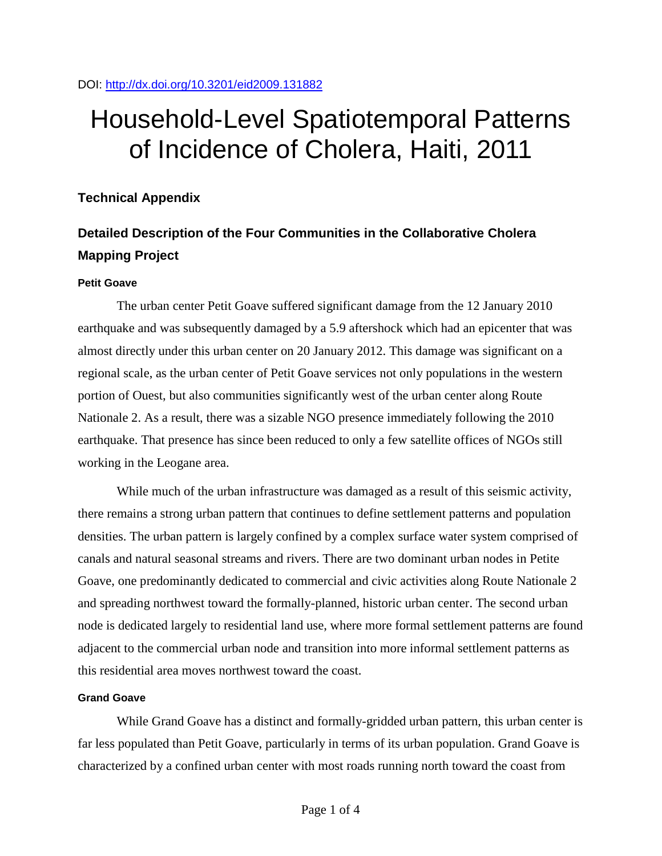# Household-Level Spatiotemporal Patterns of Incidence of Cholera, Haiti, 2011

### **Technical Appendix**

### **Detailed Description of the Four Communities in the Collaborative Cholera Mapping Project**

### **Petit Goave**

The urban center Petit Goave suffered significant damage from the 12 January 2010 earthquake and was subsequently damaged by a 5.9 aftershock which had an epicenter that was almost directly under this urban center on 20 January 2012. This damage was significant on a regional scale, as the urban center of Petit Goave services not only populations in the western portion of Ouest, but also communities significantly west of the urban center along Route Nationale 2. As a result, there was a sizable NGO presence immediately following the 2010 earthquake. That presence has since been reduced to only a few satellite offices of NGOs still working in the Leogane area.

While much of the urban infrastructure was damaged as a result of this seismic activity, there remains a strong urban pattern that continues to define settlement patterns and population densities. The urban pattern is largely confined by a complex surface water system comprised of canals and natural seasonal streams and rivers. There are two dominant urban nodes in Petite Goave, one predominantly dedicated to commercial and civic activities along Route Nationale 2 and spreading northwest toward the formally-planned, historic urban center. The second urban node is dedicated largely to residential land use, where more formal settlement patterns are found adjacent to the commercial urban node and transition into more informal settlement patterns as this residential area moves northwest toward the coast.

### **Grand Goave**

While Grand Goave has a distinct and formally-gridded urban pattern, this urban center is far less populated than Petit Goave, particularly in terms of its urban population. Grand Goave is characterized by a confined urban center with most roads running north toward the coast from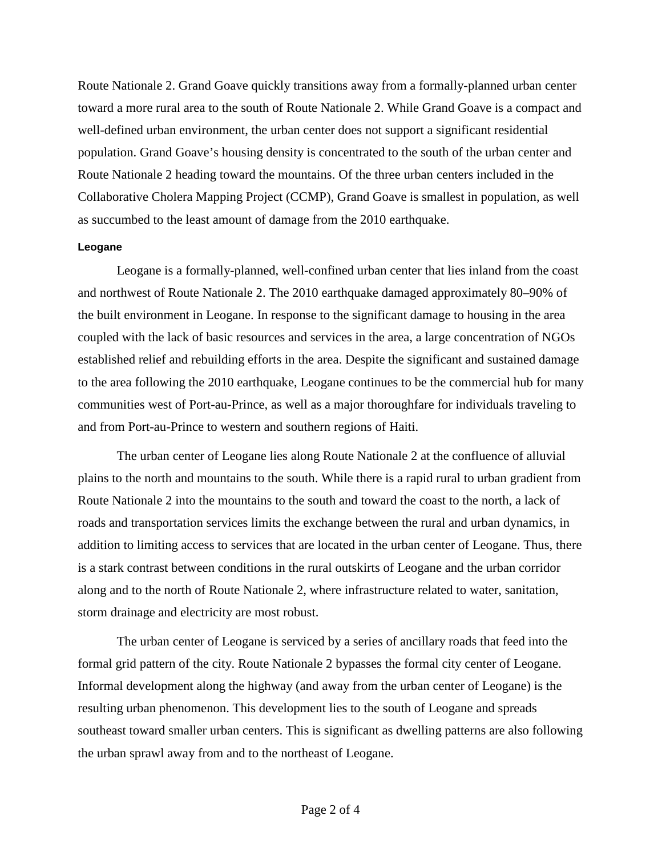Route Nationale 2. Grand Goave quickly transitions away from a formally-planned urban center toward a more rural area to the south of Route Nationale 2. While Grand Goave is a compact and well-defined urban environment, the urban center does not support a significant residential population. Grand Goave's housing density is concentrated to the south of the urban center and Route Nationale 2 heading toward the mountains. Of the three urban centers included in the Collaborative Cholera Mapping Project (CCMP), Grand Goave is smallest in population, as well as succumbed to the least amount of damage from the 2010 earthquake.

### **Leogane**

Leogane is a formally-planned, well-confined urban center that lies inland from the coast and northwest of Route Nationale 2. The 2010 earthquake damaged approximately 80–90% of the built environment in Leogane. In response to the significant damage to housing in the area coupled with the lack of basic resources and services in the area, a large concentration of NGOs established relief and rebuilding efforts in the area. Despite the significant and sustained damage to the area following the 2010 earthquake, Leogane continues to be the commercial hub for many communities west of Port-au-Prince, as well as a major thoroughfare for individuals traveling to and from Port-au-Prince to western and southern regions of Haiti.

The urban center of Leogane lies along Route Nationale 2 at the confluence of alluvial plains to the north and mountains to the south. While there is a rapid rural to urban gradient from Route Nationale 2 into the mountains to the south and toward the coast to the north, a lack of roads and transportation services limits the exchange between the rural and urban dynamics, in addition to limiting access to services that are located in the urban center of Leogane. Thus, there is a stark contrast between conditions in the rural outskirts of Leogane and the urban corridor along and to the north of Route Nationale 2, where infrastructure related to water, sanitation, storm drainage and electricity are most robust.

The urban center of Leogane is serviced by a series of ancillary roads that feed into the formal grid pattern of the city. Route Nationale 2 bypasses the formal city center of Leogane. Informal development along the highway (and away from the urban center of Leogane) is the resulting urban phenomenon. This development lies to the south of Leogane and spreads southeast toward smaller urban centers. This is significant as dwelling patterns are also following the urban sprawl away from and to the northeast of Leogane.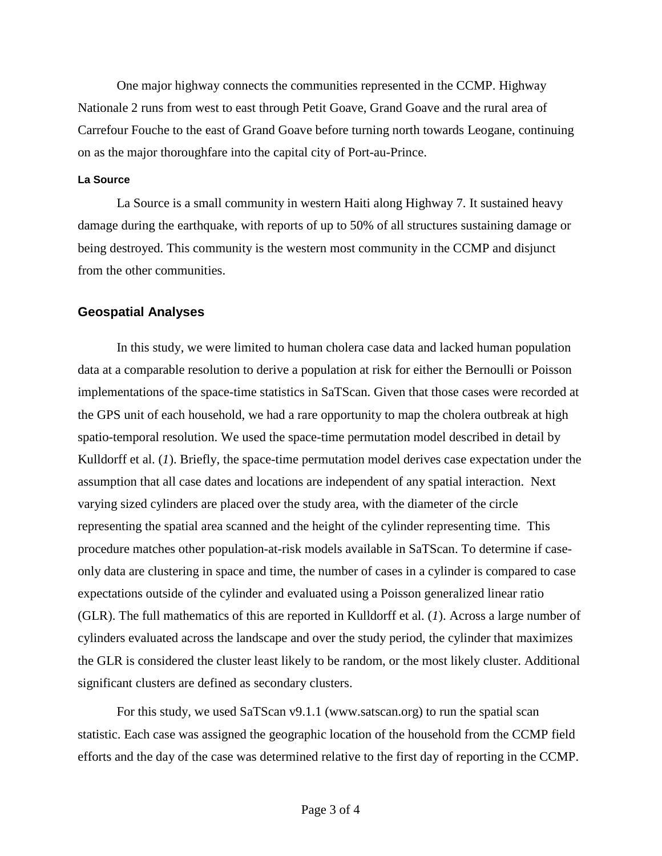One major highway connects the communities represented in the CCMP. Highway Nationale 2 runs from west to east through Petit Goave, Grand Goave and the rural area of Carrefour Fouche to the east of Grand Goave before turning north towards Leogane, continuing on as the major thoroughfare into the capital city of Port-au-Prince.

### **La Source**

La Source is a small community in western Haiti along Highway 7. It sustained heavy damage during the earthquake, with reports of up to 50% of all structures sustaining damage or being destroyed. This community is the western most community in the CCMP and disjunct from the other communities.

### **Geospatial Analyses**

In this study, we were limited to human cholera case data and lacked human population data at a comparable resolution to derive a population at risk for either the Bernoulli or Poisson implementations of the space-time statistics in SaTScan. Given that those cases were recorded at the GPS unit of each household, we had a rare opportunity to map the cholera outbreak at high spatio-temporal resolution. We used the space-time permutation model described in detail by Kulldorff et al. (*1*). Briefly, the space-time permutation model derives case expectation under the assumption that all case dates and locations are independent of any spatial interaction. Next varying sized cylinders are placed over the study area, with the diameter of the circle representing the spatial area scanned and the height of the cylinder representing time. This procedure matches other population-at-risk models available in SaTScan. To determine if caseonly data are clustering in space and time, the number of cases in a cylinder is compared to case expectations outside of the cylinder and evaluated using a Poisson generalized linear ratio (GLR). The full mathematics of this are reported in Kulldorff et al. (*1*). Across a large number of cylinders evaluated across the landscape and over the study period, the cylinder that maximizes the GLR is considered the cluster least likely to be random, or the most likely cluster. Additional significant clusters are defined as secondary clusters.

For this study, we used SaTScan v9.1.1 (www.satscan.org) to run the spatial scan statistic. Each case was assigned the geographic location of the household from the CCMP field efforts and the day of the case was determined relative to the first day of reporting in the CCMP.